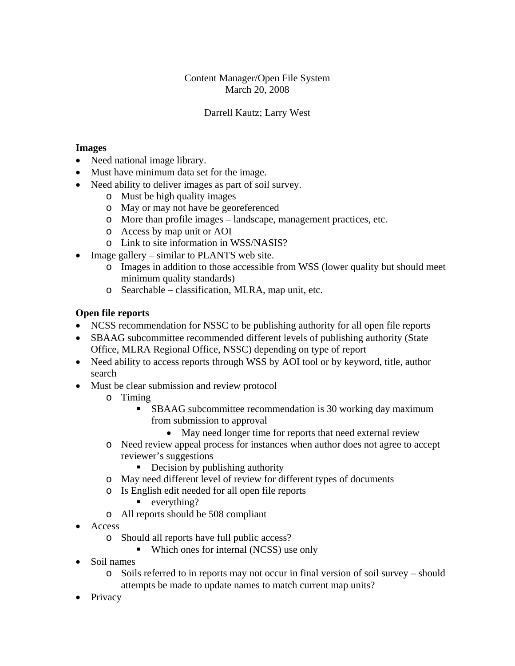## Content Manager/Open File System March 20, 2008

## Darrell Kautz; Larry West

#### **Images**

- Need national image library.
- Must have minimum data set for the image.
- Need ability to deliver images as part of soil survey.
	- o Must be high quality images
	- o May or may not have be georeferenced
	- o More than profile images landscape, management practices, etc.
	- o Access by map unit or AOI
	- o Link to site information in WSS/NASIS?
- Image gallery similar to PLANTS web site.
	- o Images in addition to those accessible from WSS (lower quality but should meet minimum quality standards)
	- o Searchable classification, MLRA, map unit, etc.

## **Open file reports**

- NCSS recommendation for NSSC to be publishing authority for all open file reports
- SBAAG subcommittee recommended different levels of publishing authority (State Office, MLRA Regional Office, NSSC) depending on type of report
- Need ability to access reports through WSS by AOI tool or by keyword, title, author search
- Must be clear submission and review protocol
	- o Timing
		- SBAAG subcommittee recommendation is 30 working day maximum from submission to approval
			- May need longer time for reports that need external review
	- o Need review appeal process for instances when author does not agree to accept reviewer's suggestions
		- Decision by publishing authority
	- o May need different level of review for different types of documents
	- o Is English edit needed for all open file reports
		- $\blacksquare$  everything?
	- o All reports should be 508 compliant
- Access
	- o Should all reports have full public access?
		- Which ones for internal (NCSS) use only
- Soil names
	- o Soils referred to in reports may not occur in final version of soil survey should attempts be made to update names to match current map units?
- Privacy